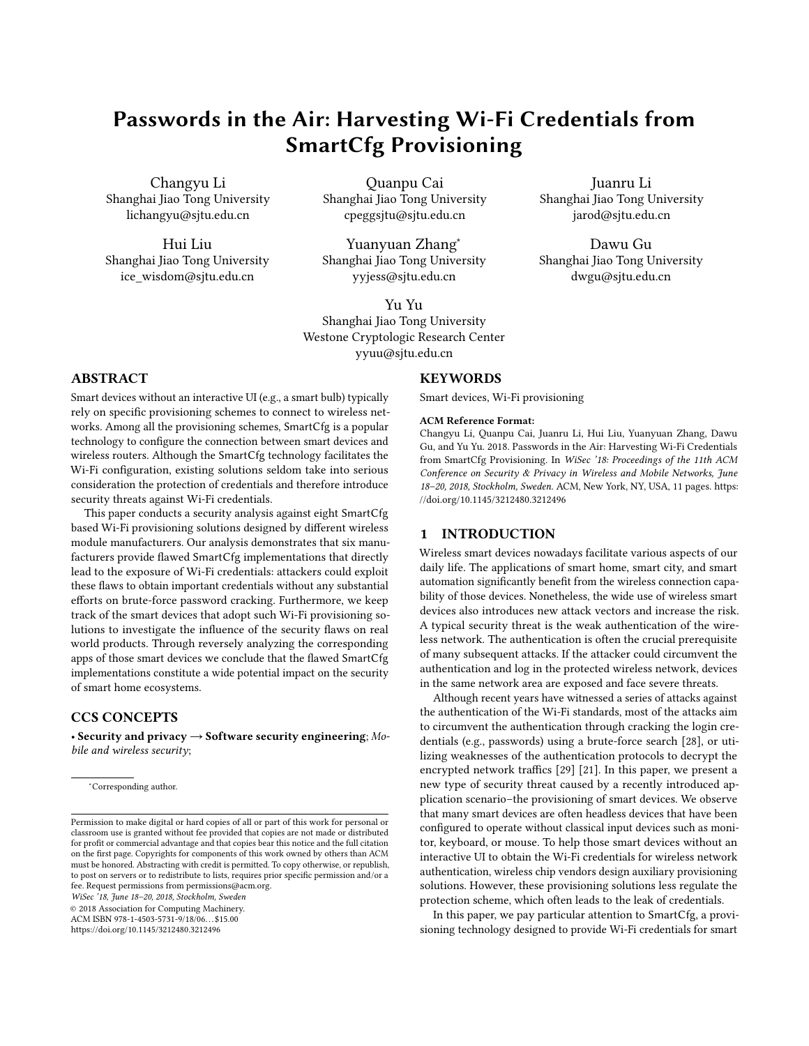# Passwords in the Air: Harvesting Wi-Fi Credentials from SmartCfg Provisioning

Changyu Li Shanghai Jiao Tong University lichangyu@sjtu.edu.cn

Hui Liu Shanghai Jiao Tong University ice\_wisdom@sjtu.edu.cn

Quanpu Cai Shanghai Jiao Tong University cpeggsjtu@sjtu.edu.cn

Yuanyuan Zhang<sup>∗</sup> Shanghai Jiao Tong University yyjess@sjtu.edu.cn

Yu Yu Shanghai Jiao Tong University Westone Cryptologic Research Center yyuu@sjtu.edu.cn

## ABSTRACT

Smart devices without an interactive UI (e.g., a smart bulb) typically rely on specific provisioning schemes to connect to wireless networks. Among all the provisioning schemes, SmartCfg is a popular technology to configure the connection between smart devices and wireless routers. Although the SmartCfg technology facilitates the Wi-Fi configuration, existing solutions seldom take into serious consideration the protection of credentials and therefore introduce security threats against Wi-Fi credentials.

This paper conducts a security analysis against eight SmartCfg based Wi-Fi provisioning solutions designed by different wireless module manufacturers. Our analysis demonstrates that six manufacturers provide flawed SmartCfg implementations that directly lead to the exposure of Wi-Fi credentials: attackers could exploit these flaws to obtain important credentials without any substantial efforts on brute-force password cracking. Furthermore, we keep track of the smart devices that adopt such Wi-Fi provisioning solutions to investigate the influence of the security flaws on real world products. Through reversely analyzing the corresponding apps of those smart devices we conclude that the flawed SmartCfg implementations constitute a wide potential impact on the security of smart home ecosystems.

## CCS CONCEPTS

• Security and privacy  $\rightarrow$  Software security engineering; Mobile and wireless security;

WiSec '18, June 18–20, 2018, Stockholm, Sweden

© 2018 Association for Computing Machinery.

ACM ISBN 978-1-4503-5731-9/18/06. . . \$15.00

<https://doi.org/10.1145/3212480.3212496>

## **KEYWORDS**

Smart devices, Wi-Fi provisioning

#### ACM Reference Format:

Changyu Li, Quanpu Cai, Juanru Li, Hui Liu, Yuanyuan Zhang, Dawu Gu, and Yu Yu. 2018. Passwords in the Air: Harvesting Wi-Fi Credentials from SmartCfg Provisioning. In WiSec '18: Proceedings of the 11th ACM Conference on Security & Privacy in Wireless and Mobile Networks, June 18–20, 2018, Stockholm, Sweden. ACM, New York, NY, USA, [11](#page-10-0) pages. [https:](https://doi.org/10.1145/3212480.3212496) [//doi.org/10.1145/3212480.3212496](https://doi.org/10.1145/3212480.3212496)

Juanru Li Shanghai Jiao Tong University jarod@sjtu.edu.cn

Dawu Gu Shanghai Jiao Tong University dwgu@sjtu.edu.cn

## 1 INTRODUCTION

Wireless smart devices nowadays facilitate various aspects of our daily life. The applications of smart home, smart city, and smart automation significantly benefit from the wireless connection capability of those devices. Nonetheless, the wide use of wireless smart devices also introduces new attack vectors and increase the risk. A typical security threat is the weak authentication of the wireless network. The authentication is often the crucial prerequisite of many subsequent attacks. If the attacker could circumvent the authentication and log in the protected wireless network, devices in the same network area are exposed and face severe threats.

Although recent years have witnessed a series of attacks against the authentication of the Wi-Fi standards, most of the attacks aim to circumvent the authentication through cracking the login credentials (e.g., passwords) using a brute-force search [\[28\]](#page-10-1), or utilizing weaknesses of the authentication protocols to decrypt the encrypted network traffics [\[29\]](#page-10-2) [\[21\]](#page-10-3). In this paper, we present a new type of security threat caused by a recently introduced application scenario–the provisioning of smart devices. We observe that many smart devices are often headless devices that have been configured to operate without classical input devices such as monitor, keyboard, or mouse. To help those smart devices without an interactive UI to obtain the Wi-Fi credentials for wireless network authentication, wireless chip vendors design auxiliary provisioning solutions. However, these provisioning solutions less regulate the protection scheme, which often leads to the leak of credentials.

In this paper, we pay particular attention to SmartCfg, a provisioning technology designed to provide Wi-Fi credentials for smart

<sup>∗</sup>Corresponding author.

Permission to make digital or hard copies of all or part of this work for personal or classroom use is granted without fee provided that copies are not made or distributed for profit or commercial advantage and that copies bear this notice and the full citation on the first page. Copyrights for components of this work owned by others than ACM must be honored. Abstracting with credit is permitted. To copy otherwise, or republish, to post on servers or to redistribute to lists, requires prior specific permission and/or a fee. Request permissions from permissions@acm.org.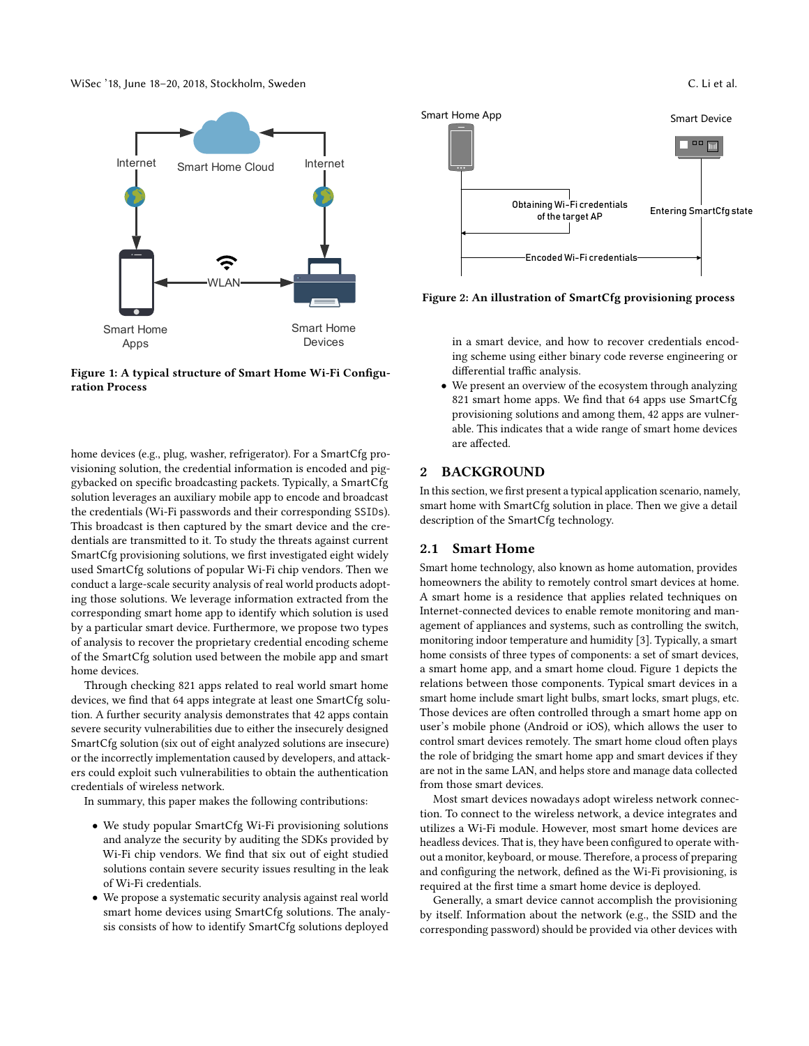<span id="page-1-0"></span>WiSec '18, June 18–20, 2018, Stockholm, Sweden C. Liet al.



Figure 1: A typical structure of Smart Home Wi-Fi Configuration Process

home devices (e.g., plug, washer, refrigerator). For a SmartCfg provisioning solution, the credential information is encoded and piggybacked on specific broadcasting packets. Typically, a SmartCfg solution leverages an auxiliary mobile app to encode and broadcast the credentials (Wi-Fi passwords and their corresponding SSIDs). This broadcast is then captured by the smart device and the credentials are transmitted to it. To study the threats against current SmartCfg provisioning solutions, we first investigated eight widely used SmartCfg solutions of popular Wi-Fi chip vendors. Then we conduct a large-scale security analysis of real world products adopting those solutions. We leverage information extracted from the corresponding smart home app to identify which solution is used by a particular smart device. Furthermore, we propose two types of analysis to recover the proprietary credential encoding scheme of the SmartCfg solution used between the mobile app and smart home devices.

Through checking 821 apps related to real world smart home devices, we find that 64 apps integrate at least one SmartCfg solution. A further security analysis demonstrates that 42 apps contain severe security vulnerabilities due to either the insecurely designed SmartCfg solution (six out of eight analyzed solutions are insecure) or the incorrectly implementation caused by developers, and attackers could exploit such vulnerabilities to obtain the authentication credentials of wireless network.

In summary, this paper makes the following contributions:

- We study popular SmartCfg Wi-Fi provisioning solutions and analyze the security by auditing the SDKs provided by Wi-Fi chip vendors. We find that six out of eight studied solutions contain severe security issues resulting in the leak of Wi-Fi credentials.
- We propose a systematic security analysis against real world smart home devices using SmartCfg solutions. The analysis consists of how to identify SmartCfg solutions deployed

<span id="page-1-1"></span>

Figure 2: An illustration of SmartCfg provisioning process

in a smart device, and how to recover credentials encoding scheme using either binary code reverse engineering or differential traffic analysis.

• We present an overview of the ecosystem through analyzing 821 smart home apps. We find that 64 apps use SmartCfg provisioning solutions and among them, 42 apps are vulnerable. This indicates that a wide range of smart home devices are affected.

## 2 BACKGROUND

In this section, we first present a typical application scenario, namely, smart home with SmartCfg solution in place. Then we give a detail description of the SmartCfg technology.

#### 2.1 Smart Home

Smart home technology, also known as home automation, provides homeowners the ability to remotely control smart devices at home. A smart home is a residence that applies related techniques on Internet-connected devices to enable remote monitoring and management of appliances and systems, such as controlling the switch, monitoring indoor temperature and humidity [\[3\]](#page-10-4). Typically, a smart home consists of three types of components: a set of smart devices, a smart home app, and a smart home cloud. Figure [1](#page-1-0) depicts the relations between those components. Typical smart devices in a smart home include smart light bulbs, smart locks, smart plugs, etc. Those devices are often controlled through a smart home app on user's mobile phone (Android or iOS), which allows the user to control smart devices remotely. The smart home cloud often plays the role of bridging the smart home app and smart devices if they are not in the same LAN, and helps store and manage data collected from those smart devices.

Most smart devices nowadays adopt wireless network connection. To connect to the wireless network, a device integrates and utilizes a Wi-Fi module. However, most smart home devices are headless devices. That is, they have been configured to operate without a monitor, keyboard, or mouse. Therefore, a process of preparing and configuring the network, defined as the Wi-Fi provisioning, is required at the first time a smart home device is deployed.

Generally, a smart device cannot accomplish the provisioning by itself. Information about the network (e.g., the SSID and the corresponding password) should be provided via other devices with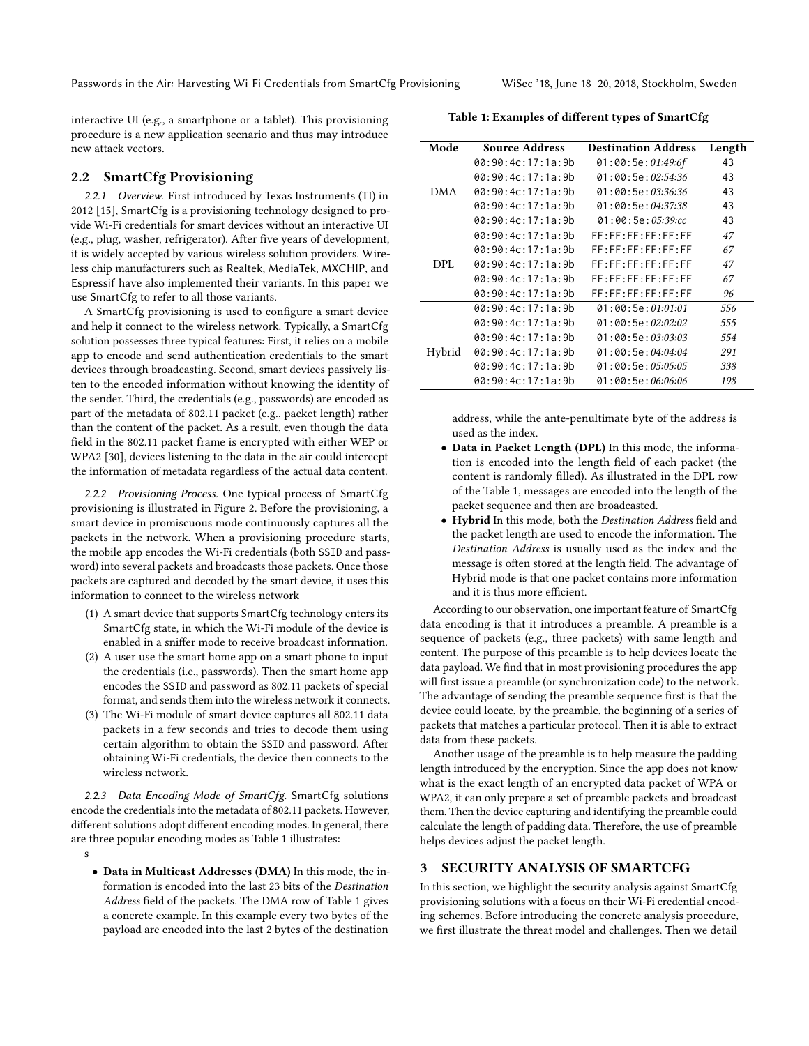interactive UI (e.g., a smartphone or a tablet). This provisioning procedure is a new application scenario and thus may introduce new attack vectors.

## 2.2 SmartCfg Provisioning

2.2.1 Overview. First introduced by Texas Instruments (TI) in 2012 [\[15\]](#page-10-5), SmartCfg is a provisioning technology designed to provide Wi-Fi credentials for smart devices without an interactive UI (e.g., plug, washer, refrigerator). After five years of development, it is widely accepted by various wireless solution providers. Wireless chip manufacturers such as Realtek, MediaTek, MXCHIP, and Espressif have also implemented their variants. In this paper we use SmartCfg to refer to all those variants.

A SmartCfg provisioning is used to configure a smart device and help it connect to the wireless network. Typically, a SmartCfg solution possesses three typical features: First, it relies on a mobile app to encode and send authentication credentials to the smart devices through broadcasting. Second, smart devices passively listen to the encoded information without knowing the identity of the sender. Third, the credentials (e.g., passwords) are encoded as part of the metadata of 802.11 packet (e.g., packet length) rather than the content of the packet. As a result, even though the data field in the 802.11 packet frame is encrypted with either WEP or WPA2 [\[30\]](#page-10-6), devices listening to the data in the air could intercept the information of metadata regardless of the actual data content.

2.2.2 Provisioning Process. One typical process of SmartCfg provisioning is illustrated in Figure [2.](#page-1-1) Before the provisioning, a smart device in promiscuous mode continuously captures all the packets in the network. When a provisioning procedure starts, the mobile app encodes the Wi-Fi credentials (both SSID and password) into several packets and broadcasts those packets. Once those packets are captured and decoded by the smart device, it uses this information to connect to the wireless network

- (1) A smart device that supports SmartCfg technology enters its SmartCfg state, in which the Wi-Fi module of the device is enabled in a sniffer mode to receive broadcast information.
- (2) A user use the smart home app on a smart phone to input the credentials (i.e., passwords). Then the smart home app encodes the SSID and password as 802.11 packets of special format, and sends them into the wireless network it connects.
- (3) The Wi-Fi module of smart device captures all 802.11 data packets in a few seconds and tries to decode them using certain algorithm to obtain the SSID and password. After obtaining Wi-Fi credentials, the device then connects to the wireless network.

2.2.3 Data Encoding Mode of SmartCfg. SmartCfg solutions encode the credentials into the metadata of 802.11 packets. However, different solutions adopt different encoding modes. In general, there are three popular encoding modes as Table [1](#page-2-0) illustrates:

- s
	- Data in Multicast Addresses (DMA) In this mode, the information is encoded into the last 23 bits of the Destination Address field of the packets. The DMA row of Table [1](#page-2-0) gives a concrete example. In this example every two bytes of the payload are encoded into the last 2 bytes of the destination

<span id="page-2-0"></span>

|  |  | Table 1: Examples of different types of SmartCfg |
|--|--|--------------------------------------------------|
|--|--|--------------------------------------------------|

| Mode   | <b>Source Address</b> | <b>Destination Address</b>                                                | Length |
|--------|-----------------------|---------------------------------------------------------------------------|--------|
|        | 00:90:4c:17:1a:9b     | 01:00:5e:01:49:6f                                                         | 43     |
|        | 00:90:4c:17:1a:9b     | 01:00:5e:02:54:36                                                         | 43     |
| DMA.   | 00:90:4c:17:1a:9b     | 01:00:5e:03:36:36                                                         | 43     |
|        | 00:90:4c:17:1a:9b     | 01:00:5e:04:37:38                                                         | 43     |
|        | 00:90:4c:17:1a:9b     | 01:00:5e:05:39:cc                                                         | 43     |
|        | 00:90:4c:17:1a:9b     | FF:FF:FF:FF:FF:FF                                                         | 47     |
|        | 00:90:4c:17:1a:9b     | $\mathsf{FF}:\mathsf{FF}:\mathsf{FF}:\mathsf{FF}:\mathsf{FF}:\mathsf{FF}$ | 67     |
| DPL.   | 00:90:4c:17:1a:9b     | FF:FF:FF:FF:FF:FF                                                         | 47     |
|        | 00:90:4c:17:1a:9b     | FF:FF:FF:FF:FF:FF                                                         | 67     |
|        | 00:90:4c:17:1a:9b     | FF:FF:FF:FF:FF:FF                                                         | 96     |
|        | 00:90:4c:17:1a:9b     | 01:00:5e:01:01:01                                                         | 556    |
|        | 00:90:4c:17:1a:9b     | 01:00:5e:02:02:02                                                         | 555    |
|        | 00:90:4c:17:1a:9b     | 01:00:5e:03:03:03                                                         | 554    |
| Hybrid | 00:90:4c:17:1a:9b     | 01:00:5e:04:04:04                                                         | 291    |
|        | 00:90:4c:17:1a:9b     | 01:00:5e:05:05:05                                                         | 338    |
|        | 00:90:4c:17:1a:9b     | 01:00:5e:06:06:06                                                         | 198    |

address, while the ante-penultimate byte of the address is used as the index.

- Data in Packet Length (DPL) In this mode, the information is encoded into the length field of each packet (the content is randomly filled). As illustrated in the DPL row of the Table [1,](#page-2-0) messages are encoded into the length of the packet sequence and then are broadcasted.
- Hybrid In this mode, both the Destination Address field and the packet length are used to encode the information. The Destination Address is usually used as the index and the message is often stored at the length field. The advantage of Hybrid mode is that one packet contains more information and it is thus more efficient.

According to our observation, one important feature of SmartCfg data encoding is that it introduces a preamble. A preamble is a sequence of packets (e.g., three packets) with same length and content. The purpose of this preamble is to help devices locate the data payload. We find that in most provisioning procedures the app will first issue a preamble (or synchronization code) to the network. The advantage of sending the preamble sequence first is that the device could locate, by the preamble, the beginning of a series of packets that matches a particular protocol. Then it is able to extract data from these packets.

Another usage of the preamble is to help measure the padding length introduced by the encryption. Since the app does not know what is the exact length of an encrypted data packet of WPA or WPA2, it can only prepare a set of preamble packets and broadcast them. Then the device capturing and identifying the preamble could calculate the length of padding data. Therefore, the use of preamble helps devices adjust the packet length.

## 3 SECURITY ANALYSIS OF SMARTCFG

In this section, we highlight the security analysis against SmartCfg provisioning solutions with a focus on their Wi-Fi credential encoding schemes. Before introducing the concrete analysis procedure, we first illustrate the threat model and challenges. Then we detail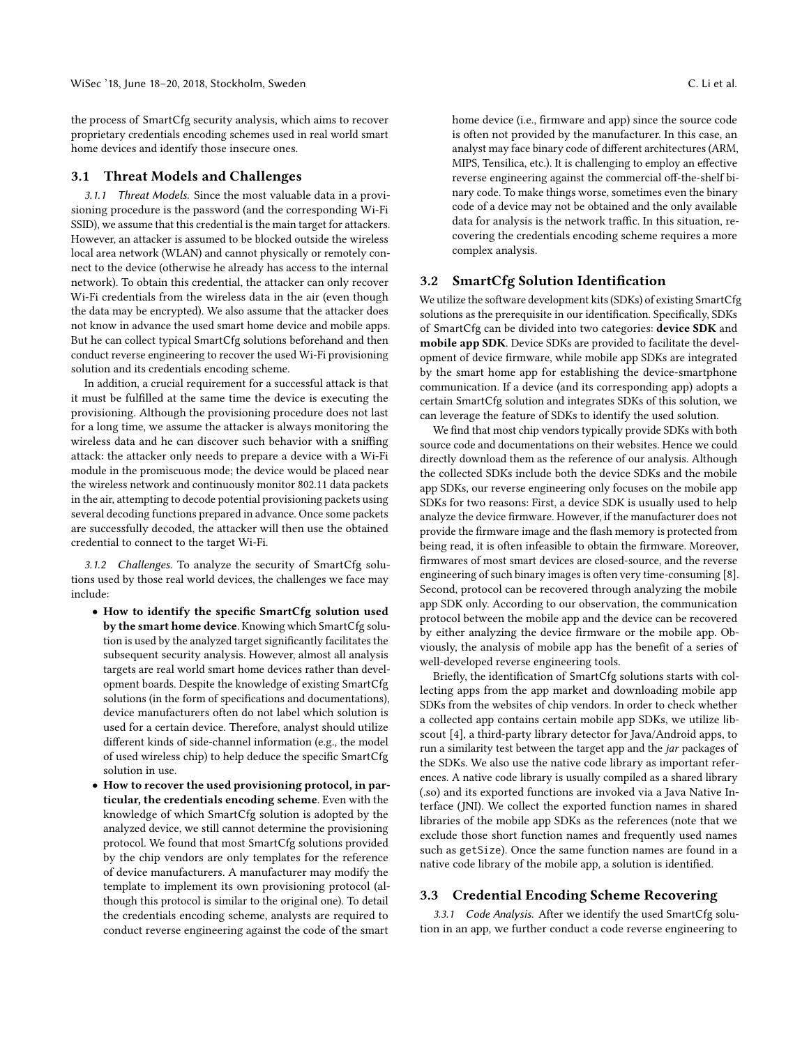the process of SmartCfg security analysis, which aims to recover proprietary credentials encoding schemes used in real world smart home devices and identify those insecure ones.

## 3.1 Threat Models and Challenges

3.1.1 Threat Models. Since the most valuable data in a provisioning procedure is the password (and the corresponding Wi-Fi SSID), we assume that this credential is the main target for attackers. However, an attacker is assumed to be blocked outside the wireless local area network (WLAN) and cannot physically or remotely connect to the device (otherwise he already has access to the internal network). To obtain this credential, the attacker can only recover Wi-Fi credentials from the wireless data in the air (even though the data may be encrypted). We also assume that the attacker does not know in advance the used smart home device and mobile apps. But he can collect typical SmartCfg solutions beforehand and then conduct reverse engineering to recover the used Wi-Fi provisioning solution and its credentials encoding scheme.

In addition, a crucial requirement for a successful attack is that it must be fulfilled at the same time the device is executing the provisioning. Although the provisioning procedure does not last for a long time, we assume the attacker is always monitoring the wireless data and he can discover such behavior with a sniffing attack: the attacker only needs to prepare a device with a Wi-Fi module in the promiscuous mode; the device would be placed near the wireless network and continuously monitor 802.11 data packets in the air, attempting to decode potential provisioning packets using several decoding functions prepared in advance. Once some packets are successfully decoded, the attacker will then use the obtained credential to connect to the target Wi-Fi.

3.1.2 Challenges. To analyze the security of SmartCfg solutions used by those real world devices, the challenges we face may include:

- How to identify the specific SmartCfg solution used by the smart home device. Knowing which SmartCfg solution is used by the analyzed target significantly facilitates the subsequent security analysis. However, almost all analysis targets are real world smart home devices rather than development boards. Despite the knowledge of existing SmartCfg solutions (in the form of specifications and documentations), device manufacturers often do not label which solution is used for a certain device. Therefore, analyst should utilize different kinds of side-channel information (e.g., the model of used wireless chip) to help deduce the specific SmartCfg solution in use.
- How to recover the used provisioning protocol, in particular, the credentials encoding scheme. Even with the knowledge of which SmartCfg solution is adopted by the analyzed device, we still cannot determine the provisioning protocol. We found that most SmartCfg solutions provided by the chip vendors are only templates for the reference of device manufacturers. A manufacturer may modify the template to implement its own provisioning protocol (although this protocol is similar to the original one). To detail the credentials encoding scheme, analysts are required to conduct reverse engineering against the code of the smart

home device (i.e., firmware and app) since the source code is often not provided by the manufacturer. In this case, an analyst may face binary code of different architectures (ARM, MIPS, Tensilica, etc.). It is challenging to employ an effective reverse engineering against the commercial off-the-shelf binary code. To make things worse, sometimes even the binary code of a device may not be obtained and the only available data for analysis is the network traffic. In this situation, recovering the credentials encoding scheme requires a more complex analysis.

## 3.2 SmartCfg Solution Identification

We utilize the software development kits (SDKs) of existing SmartCfg solutions as the prerequisite in our identification. Specifically, SDKs of SmartCfg can be divided into two categories: device SDK and mobile app SDK. Device SDKs are provided to facilitate the development of device firmware, while mobile app SDKs are integrated by the smart home app for establishing the device-smartphone communication. If a device (and its corresponding app) adopts a certain SmartCfg solution and integrates SDKs of this solution, we can leverage the feature of SDKs to identify the used solution.

We find that most chip vendors typically provide SDKs with both source code and documentations on their websites. Hence we could directly download them as the reference of our analysis. Although the collected SDKs include both the device SDKs and the mobile app SDKs, our reverse engineering only focuses on the mobile app SDKs for two reasons: First, a device SDK is usually used to help analyze the device firmware. However, if the manufacturer does not provide the firmware image and the flash memory is protected from being read, it is often infeasible to obtain the firmware. Moreover, firmwares of most smart devices are closed-source, and the reverse engineering of such binary images is often very time-consuming [\[8\]](#page-10-7). Second, protocol can be recovered through analyzing the mobile app SDK only. According to our observation, the communication protocol between the mobile app and the device can be recovered by either analyzing the device firmware or the mobile app. Obviously, the analysis of mobile app has the benefit of a series of well-developed reverse engineering tools.

Briefly, the identification of SmartCfg solutions starts with collecting apps from the app market and downloading mobile app SDKs from the websites of chip vendors. In order to check whether a collected app contains certain mobile app SDKs, we utilize libscout [\[4\]](#page-10-8), a third-party library detector for Java/Android apps, to run a similarity test between the target app and the jar packages of the SDKs. We also use the native code library as important references. A native code library is usually compiled as a shared library (.so) and its exported functions are invoked via a Java Native Interface (JNI). We collect the exported function names in shared libraries of the mobile app SDKs as the references (note that we exclude those short function names and frequently used names such as getSize). Once the same function names are found in a native code library of the mobile app, a solution is identified.

#### 3.3 Credential Encoding Scheme Recovering

<span id="page-3-0"></span>3.3.1 Code Analysis. After we identify the used SmartCfg solution in an app, we further conduct a code reverse engineering to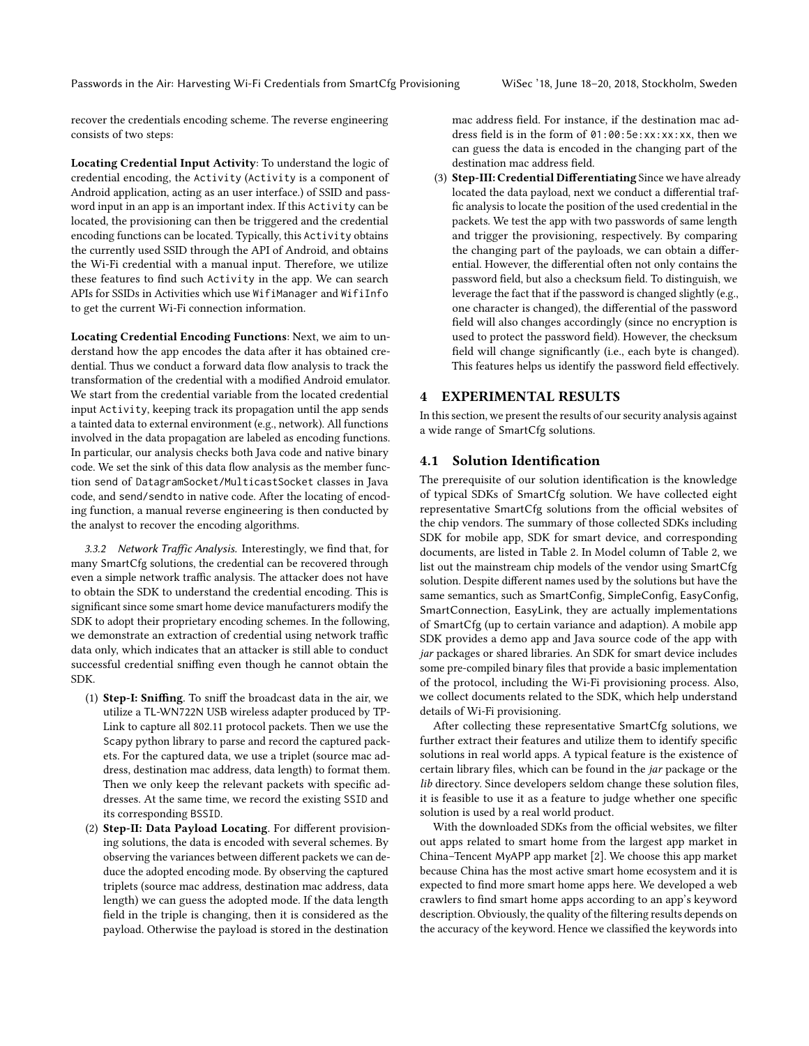recover the credentials encoding scheme. The reverse engineering consists of two steps:

Locating Credential Input Activity: To understand the logic of credential encoding, the Activity (Activity is a component of Android application, acting as an user interface.) of SSID and password input in an app is an important index. If this Activity can be located, the provisioning can then be triggered and the credential encoding functions can be located. Typically, this Activity obtains the currently used SSID through the API of Android, and obtains the Wi-Fi credential with a manual input. Therefore, we utilize these features to find such Activity in the app. We can search APIs for SSIDs in Activities which use WifiManager and WifiInfo to get the current Wi-Fi connection information.

Locating Credential Encoding Functions: Next, we aim to understand how the app encodes the data after it has obtained credential. Thus we conduct a forward data flow analysis to track the transformation of the credential with a modified Android emulator. We start from the credential variable from the located credential input Activity, keeping track its propagation until the app sends a tainted data to external environment (e.g., network). All functions involved in the data propagation are labeled as encoding functions. In particular, our analysis checks both Java code and native binary code. We set the sink of this data flow analysis as the member function send of DatagramSocket/MulticastSocket classes in Java code, and send/sendto in native code. After the locating of encoding function, a manual reverse engineering is then conducted by the analyst to recover the encoding algorithms.

3.3.2 Network Traffic Analysis. Interestingly, we find that, for many SmartCfg solutions, the credential can be recovered through even a simple network traffic analysis. The attacker does not have to obtain the SDK to understand the credential encoding. This is significant since some smart home device manufacturers modify the SDK to adopt their proprietary encoding schemes. In the following, we demonstrate an extraction of credential using network traffic data only, which indicates that an attacker is still able to conduct successful credential sniffing even though he cannot obtain the SDK.

- (1) Step-I: Sniffing. To sniff the broadcast data in the air, we utilize a TL-WN722N USB wireless adapter produced by TP-Link to capture all 802.11 protocol packets. Then we use the Scapy python library to parse and record the captured packets. For the captured data, we use a triplet (source mac address, destination mac address, data length) to format them. Then we only keep the relevant packets with specific addresses. At the same time, we record the existing SSID and its corresponding BSSID.
- (2) Step-II: Data Payload Locating. For different provisioning solutions, the data is encoded with several schemes. By observing the variances between different packets we can deduce the adopted encoding mode. By observing the captured triplets (source mac address, destination mac address, data length) we can guess the adopted mode. If the data length field in the triple is changing, then it is considered as the payload. Otherwise the payload is stored in the destination

mac address field. For instance, if the destination mac address field is in the form of 01:00:5e:xx:xx:xx, then we can guess the data is encoded in the changing part of the destination mac address field.

(3) Step-III: Credential Differentiating Since we have already located the data payload, next we conduct a differential traffic analysis to locate the position of the used credential in the packets. We test the app with two passwords of same length and trigger the provisioning, respectively. By comparing the changing part of the payloads, we can obtain a differential. However, the differential often not only contains the password field, but also a checksum field. To distinguish, we leverage the fact that if the password is changed slightly (e.g., one character is changed), the differential of the password field will also changes accordingly (since no encryption is used to protect the password field). However, the checksum field will change significantly (i.e., each byte is changed). This features helps us identify the password field effectively.

#### 4 EXPERIMENTAL RESULTS

In this section, we present the results of our security analysis against a wide range of SmartCfg solutions.

## 4.1 Solution Identification

The prerequisite of our solution identification is the knowledge of typical SDKs of SmartCfg solution. We have collected eight representative SmartCfg solutions from the official websites of the chip vendors. The summary of those collected SDKs including SDK for mobile app, SDK for smart device, and corresponding documents, are listed in Table [2.](#page-5-0) In Model column of Table [2,](#page-5-0) we list out the mainstream chip models of the vendor using SmartCfg solution. Despite different names used by the solutions but have the same semantics, such as SmartConfig, SimpleConfig, EasyConfig, SmartConnection, EasyLink, they are actually implementations of SmartCfg (up to certain variance and adaption). A mobile app SDK provides a demo app and Java source code of the app with jar packages or shared libraries. An SDK for smart device includes some pre-compiled binary files that provide a basic implementation of the protocol, including the Wi-Fi provisioning process. Also, we collect documents related to the SDK, which help understand details of Wi-Fi provisioning.

After collecting these representative SmartCfg solutions, we further extract their features and utilize them to identify specific solutions in real world apps. A typical feature is the existence of certain library files, which can be found in the jar package or the lib directory. Since developers seldom change these solution files, it is feasible to use it as a feature to judge whether one specific solution is used by a real world product.

With the downloaded SDKs from the official websites, we filter out apps related to smart home from the largest app market in China–Tencent MyAPP app market [\[2\]](#page-10-9). We choose this app market because China has the most active smart home ecosystem and it is expected to find more smart home apps here. We developed a web crawlers to find smart home apps according to an app's keyword description. Obviously, the quality of the filtering results depends on the accuracy of the keyword. Hence we classified the keywords into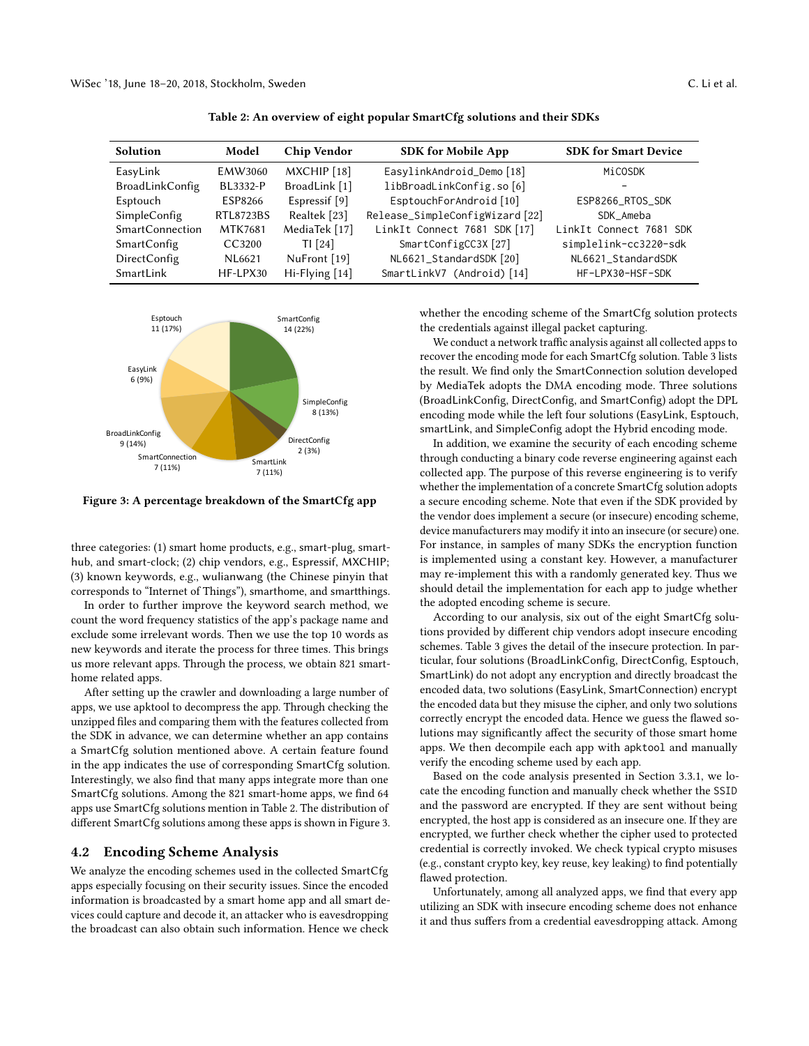<span id="page-5-0"></span>

| Solution               | Model            | <b>Chip Vendor</b> | <b>SDK</b> for Mobile App       | <b>SDK</b> for Smart Device |
|------------------------|------------------|--------------------|---------------------------------|-----------------------------|
| EasyLink               | EMW3060          | MXCHIP [18]        | EasylinkAndroid_Demo [18]       | MiCOSDK                     |
| BroadLinkConfig        | BL3332-P         | BroadLink [1]      | libBroadLinkConfig.so[6]        |                             |
| Esptouch               | ESP8266          | Espressif [9]      | EsptouchForAndroid [10]         | ESP8266_RTOS_SDK            |
| <b>SimpleConfig</b>    | <b>RTL8723BS</b> | Realtek [23]       | Release_SimpleConfigWizard [22] | SDK Ameba                   |
| <b>SmartConnection</b> | MTK7681          | MediaTek [17]      | LinkIt Connect 7681 SDK [17]    | LinkIt Connect 7681 SDK     |
| <b>SmartConfig</b>     | CC3200           | TI [24]            | SmartConfigCC3X [27]            | simplelink-cc3220-sdk       |
| DirectConfig           | NL6621           | NuFront [19]       | NL6621_StandardSDK [20]         | NL6621_StandardSDK          |
| SmartLink              | HF-LPX30         | Hi-Flying $[14]$   | SmartLinkV7 (Android) [14]      | HF-LPX30-HSF-SDK            |

Table 2: An overview of eight popular SmartCfg solutions and their SDKs

<span id="page-5-1"></span>

Figure 3: A percentage breakdown of the SmartCfg app

three categories: (1) smart home products, e.g., smart-plug, smarthub, and smart-clock; (2) chip vendors, e.g., Espressif, MXCHIP; (3) known keywords, e.g., wulianwang (the Chinese pinyin that corresponds to "Internet of Things"), smarthome, and smartthings.

In order to further improve the keyword search method, we count the word frequency statistics of the app's package name and exclude some irrelevant words. Then we use the top 10 words as new keywords and iterate the process for three times. This brings us more relevant apps. Through the process, we obtain 821 smarthome related apps.

After setting up the crawler and downloading a large number of apps, we use apktool to decompress the app. Through checking the unzipped files and comparing them with the features collected from the SDK in advance, we can determine whether an app contains a SmartCfg solution mentioned above. A certain feature found in the app indicates the use of corresponding SmartCfg solution. Interestingly, we also find that many apps integrate more than one SmartCfg solutions. Among the 821 smart-home apps, we find 64 apps use SmartCfg solutions mention in Table [2.](#page-5-0) The distribution of different SmartCfg solutions among these apps is shown in Figure [3.](#page-5-1)

## 4.2 Encoding Scheme Analysis

We analyze the encoding schemes used in the collected SmartCfg apps especially focusing on their security issues. Since the encoded information is broadcasted by a smart home app and all smart devices could capture and decode it, an attacker who is eavesdropping the broadcast can also obtain such information. Hence we check

whether the encoding scheme of the SmartCfg solution protects the credentials against illegal packet capturing.

We conduct a network traffic analysis against all collected apps to recover the encoding mode for each SmartCfg solution. Table [3](#page-6-0) lists the result. We find only the SmartConnection solution developed by MediaTek adopts the DMA encoding mode. Three solutions (BroadLinkConfig, DirectConfig, and SmartConfig) adopt the DPL encoding mode while the left four solutions (EasyLink, Esptouch, smartLink, and SimpleConfig adopt the Hybrid encoding mode.

In addition, we examine the security of each encoding scheme through conducting a binary code reverse engineering against each collected app. The purpose of this reverse engineering is to verify whether the implementation of a concrete SmartCfg solution adopts a secure encoding scheme. Note that even if the SDK provided by the vendor does implement a secure (or insecure) encoding scheme, device manufacturers may modify it into an insecure (or secure) one. For instance, in samples of many SDKs the encryption function is implemented using a constant key. However, a manufacturer may re-implement this with a randomly generated key. Thus we should detail the implementation for each app to judge whether the adopted encoding scheme is secure.

According to our analysis, six out of the eight SmartCfg solutions provided by different chip vendors adopt insecure encoding schemes. Table [3](#page-6-0) gives the detail of the insecure protection. In particular, four solutions (BroadLinkConfig, DirectConfig, Esptouch, SmartLink) do not adopt any encryption and directly broadcast the encoded data, two solutions (EasyLink, SmartConnection) encrypt the encoded data but they misuse the cipher, and only two solutions correctly encrypt the encoded data. Hence we guess the flawed solutions may significantly affect the security of those smart home apps. We then decompile each app with apktool and manually verify the encoding scheme used by each app.

Based on the code analysis presented in Section [3.3.1,](#page-3-0) we locate the encoding function and manually check whether the SSID and the password are encrypted. If they are sent without being encrypted, the host app is considered as an insecure one. If they are encrypted, we further check whether the cipher used to protected credential is correctly invoked. We check typical crypto misuses (e.g., constant crypto key, key reuse, key leaking) to find potentially flawed protection.

Unfortunately, among all analyzed apps, we find that every app utilizing an SDK with insecure encoding scheme does not enhance it and thus suffers from a credential eavesdropping attack. Among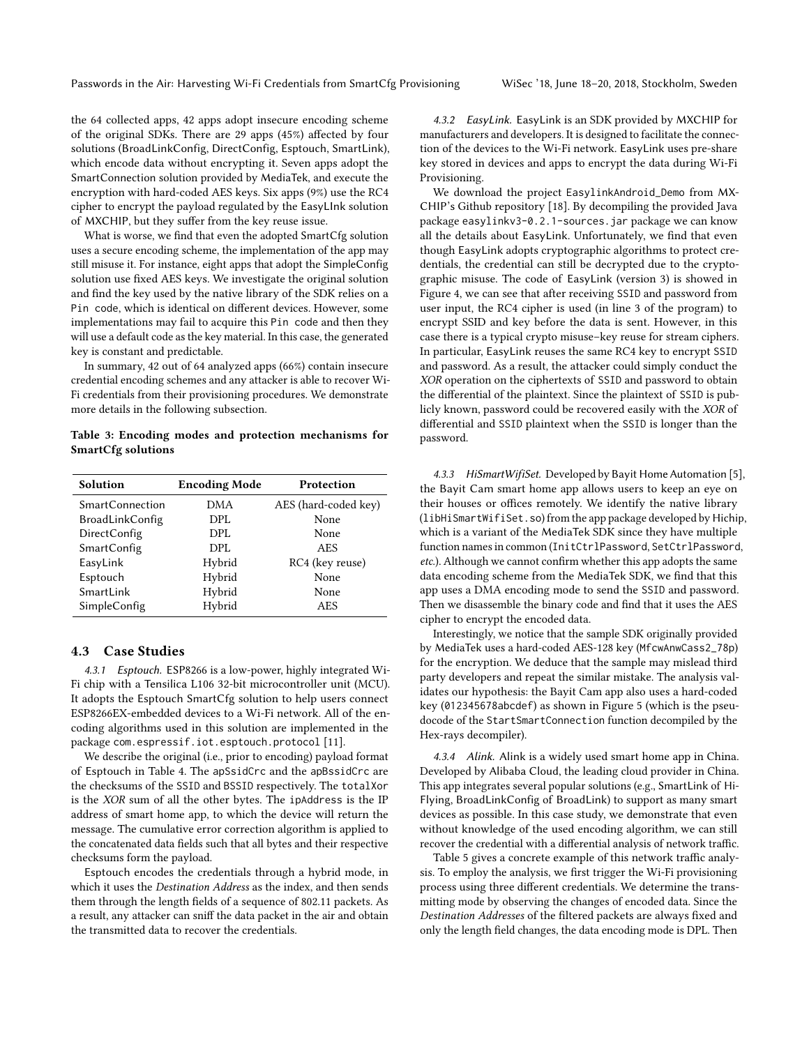the 64 collected apps, 42 apps adopt insecure encoding scheme of the original SDKs. There are 29 apps (45%) affected by four solutions (BroadLinkConfig, DirectConfig, Esptouch, SmartLink), which encode data without encrypting it. Seven apps adopt the SmartConnection solution provided by MediaTek, and execute the encryption with hard-coded AES keys. Six apps (9%) use the RC4 cipher to encrypt the payload regulated by the EasyLInk solution of MXCHIP, but they suffer from the key reuse issue.

What is worse, we find that even the adopted SmartCfg solution uses a secure encoding scheme, the implementation of the app may still misuse it. For instance, eight apps that adopt the SimpleConfig solution use fixed AES keys. We investigate the original solution and find the key used by the native library of the SDK relies on a Pin code, which is identical on different devices. However, some implementations may fail to acquire this Pin code and then they will use a default code as the key material. In this case, the generated key is constant and predictable.

In summary, 42 out of 64 analyzed apps (66%) contain insecure credential encoding schemes and any attacker is able to recover Wi-Fi credentials from their provisioning procedures. We demonstrate more details in the following subsection.

<span id="page-6-0"></span>Table 3: Encoding modes and protection mechanisms for SmartCfg solutions

| Solution               | <b>Encoding Mode</b> | Protection           |
|------------------------|----------------------|----------------------|
| <b>SmartConnection</b> | DMA                  | AES (hard-coded key) |
| BroadLinkConfig        | DPL.                 | None                 |
| DirectConfig           | DPL.                 | None                 |
| SmartConfig            | DPL.                 | AES                  |
| EasyLink               | Hybrid               | RC4 (key reuse)      |
| Esptouch               | Hybrid               | None                 |
| SmartLink              | Hybrid               | None                 |
| SimpleConfig           | Hybrid               | <b>AES</b>           |

## 4.3 Case Studies

4.3.1 Esptouch. ESP8266 is a low-power, highly integrated Wi-Fi chip with a Tensilica L106 32-bit microcontroller unit (MCU). It adopts the Esptouch SmartCfg solution to help users connect ESP8266EX-embedded devices to a Wi-Fi network. All of the encoding algorithms used in this solution are implemented in the package com.espressif.iot.esptouch.protocol [\[11\]](#page-10-23).

We describe the original (i.e., prior to encoding) payload format of Esptouch in Table [4.](#page-7-0) The apSsidCrc and the apBssidCrc are the checksums of the SSID and BSSID respectively. The totalXor is the XOR sum of all the other bytes. The ipAddress is the IP address of smart home app, to which the device will return the message. The cumulative error correction algorithm is applied to the concatenated data fields such that all bytes and their respective checksums form the payload.

Esptouch encodes the credentials through a hybrid mode, in which it uses the Destination Address as the index, and then sends them through the length fields of a sequence of 802.11 packets. As a result, any attacker can sniff the data packet in the air and obtain the transmitted data to recover the credentials.

4.3.2 EasyLink. EasyLink is an SDK provided by MXCHIP for manufacturers and developers. It is designed to facilitate the connection of the devices to the Wi-Fi network. EasyLink uses pre-share key stored in devices and apps to encrypt the data during Wi-Fi Provisioning.

We download the project EasylinkAndroid\_Demo from MX-CHIP's Github repository [\[18\]](#page-10-10). By decompiling the provided Java package easylinkv3-0.2.1-sources.jar package we can know all the details about EasyLink. Unfortunately, we find that even though EasyLink adopts cryptographic algorithms to protect credentials, the credential can still be decrypted due to the cryptographic misuse. The code of EasyLink (version 3) is showed in Figure [4,](#page-7-1) we can see that after receiving SSID and password from user input, the RC4 cipher is used (in line 3 of the program) to encrypt SSID and key before the data is sent. However, in this case there is a typical crypto misuse–key reuse for stream ciphers. In particular, EasyLink reuses the same RC4 key to encrypt SSID and password. As a result, the attacker could simply conduct the XOR operation on the ciphertexts of SSID and password to obtain the differential of the plaintext. Since the plaintext of SSID is publicly known, password could be recovered easily with the XOR of differential and SSID plaintext when the SSID is longer than the password.

4.3.3 HiSmartWifiSet. Developed by Bayit Home Automation [\[5\]](#page-10-24), the Bayit Cam smart home app allows users to keep an eye on their houses or offices remotely. We identify the native library (libHiSmartWifiSet.so) from the app package developed by Hichip, which is a variant of the MediaTek SDK since they have multiple function names in common (InitCtrlPassword, SetCtrlPassword, etc.). Although we cannot confirm whether this app adopts the same data encoding scheme from the MediaTek SDK, we find that this app uses a DMA encoding mode to send the SSID and password. Then we disassemble the binary code and find that it uses the AES cipher to encrypt the encoded data.

Interestingly, we notice that the sample SDK originally provided by MediaTek uses a hard-coded AES-128 key (MfcwAnwCass2\_78p) for the encryption. We deduce that the sample may mislead third party developers and repeat the similar mistake. The analysis validates our hypothesis: the Bayit Cam app also uses a hard-coded key (012345678abcdef) as shown in Figure [5](#page-7-2) (which is the pseudocode of the StartSmartConnection function decompiled by the Hex-rays decompiler).

4.3.4 Alink. Alink is a widely used smart home app in China. Developed by Alibaba Cloud, the leading cloud provider in China. This app integrates several popular solutions (e.g., SmartLink of Hi-Flying, BroadLinkConfig of BroadLink) to support as many smart devices as possible. In this case study, we demonstrate that even without knowledge of the used encoding algorithm, we can still recover the credential with a differential analysis of network traffic.

Table [5](#page-7-3) gives a concrete example of this network traffic analysis. To employ the analysis, we first trigger the Wi-Fi provisioning process using three different credentials. We determine the transmitting mode by observing the changes of encoded data. Since the Destination Addresses of the filtered packets are always fixed and only the length field changes, the data encoding mode is DPL. Then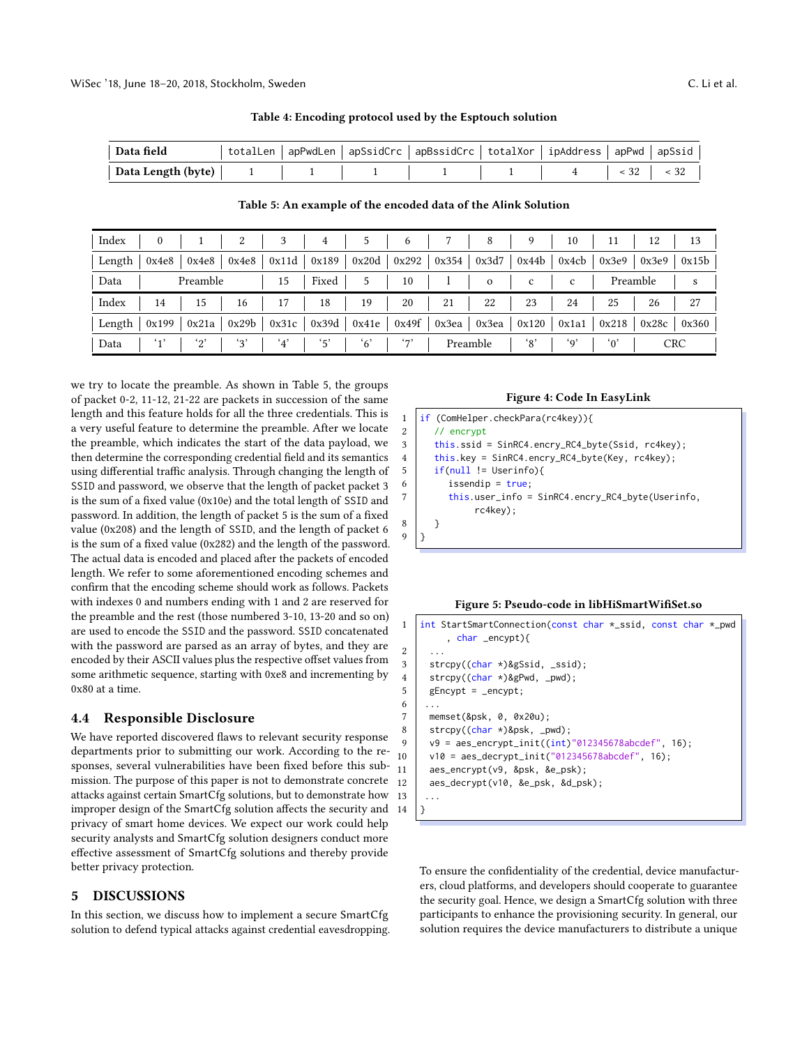<span id="page-7-0"></span>

| Data field                                               |  | totalLen   apPwdLen   apSsidCrc   apBssidCrc   totalXor   ipAddress   apPwd   apSsid |  |  |
|----------------------------------------------------------|--|--------------------------------------------------------------------------------------|--|--|
| Data Length (byte)   1   1   1   1   1   4   < 32   < 32 |  |                                                                                      |  |  |

Table 4: Encoding protocol used by the Esptouch solution

<span id="page-7-3"></span>

| Index  |       |          |       |       | 4     |       |       |       | 8                 |       | 10    | 11    | 12       | 13    |
|--------|-------|----------|-------|-------|-------|-------|-------|-------|-------------------|-------|-------|-------|----------|-------|
| Length | 0x4e8 | 0x4e8    | 0x4e8 | 0x11d | 0x189 | 0x20d | 0x292 | 0x354 | 0x3d7             | 0x44b | 0x4cb | 0x3e9 | 0x3e9    | 0x15b |
| Data   |       | Preamble |       | 15    | Fixed |       | 10    |       | $\mathbf{O}$      | c     | c     |       | Preamble | s     |
|        |       |          |       |       |       |       |       |       |                   |       |       |       |          |       |
| Index  | 14    | 15       | 16    |       | 18    | 19    | 20    | 21    | 22                | 23    | 24    | 25    | 26       | 27    |
| Length | 0x199 | 0x21a    | 0x29b | 0x31c | 0x39d | 0x41e | 0x49f |       | $0x3ea$   $0x3ea$ | 0x120 | 0x1a1 | 0x218 | 0x28c    | 0x360 |

13

we try to locate the preamble. As shown in Table [5,](#page-7-3) the groups of packet 0-2, 11-12, 21-22 are packets in succession of the same length and this feature holds for all the three credentials. This is a very useful feature to determine the preamble. After we locate the preamble, which indicates the start of the data payload, we then determine the corresponding credential field and its semantics using differential traffic analysis. Through changing the length of SSID and password, we observe that the length of packet packet 3 is the sum of a fixed value (0x10e) and the total length of SSID and password. In addition, the length of packet 5 is the sum of a fixed value (0x208) and the length of SSID, and the length of packet 6 is the sum of a fixed value (0x282) and the length of the password. The actual data is encoded and placed after the packets of encoded length. We refer to some aforementioned encoding schemes and confirm that the encoding scheme should work as follows. Packets with indexes 0 and numbers ending with 1 and 2 are reserved for the preamble and the rest (those numbered 3-10, 13-20 and so on) are used to encode the SSID and the password. SSID concatenated with the password are parsed as an array of bytes, and they are encoded by their ASCII values plus the respective offset values from some arithmetic sequence, starting with 0xe8 and incrementing by 0x80 at a time.

### 4.4 Responsible Disclosure

We have reported discovered flaws to relevant security response departments prior to submitting our work. According to the responses, several vulnerabilities have been fixed before this submission. The purpose of this paper is not to demonstrate concrete attacks against certain SmartCfg solutions, but to demonstrate how improper design of the SmartCfg solution affects the security and privacy of smart home devices. We expect our work could help security analysts and SmartCfg solution designers conduct more effective assessment of SmartCfg solutions and thereby provide better privacy protection.

## 5 DISCUSSIONS

In this section, we discuss how to implement a secure SmartCfg solution to defend typical attacks against credential eavesdropping.

#### Figure 4: Code In EasyLink

<span id="page-7-1"></span>1 if (ComHelper.checkPara(rc4key)){ 2 // encrypt  $3$  this.ssid = SinRC4.encry\_RC4\_byte(Ssid, rc4key); 4 this.key = SinRC4.encry\_RC4\_byte(Key, rc4key);  $5$  | if(null != Userinfo){  $6 \mid$  issendip = true; 7 this.user\_info = SinRC4.encry\_RC4\_byte(Userinfo, rc4key); 8 }  $\mathcal{E}$ 

<span id="page-7-2"></span>

```
int StartSmartConnection(const char *_ssid, const char *_pwd
         , char _encypt){
 2 \vert \ldots3 strcpy((char *)&gSsid, _ssid);
 4 strcpy((char *)&gPwd, _pwd);
 5 gEncypt = _encypt;
 6 \mid \ldots7 memset(&psk, 0, 0x20u);
 8 strcpy((char *)&psk, _pwd);
      9 v9 = aes_encrypt_init((int)"012345678abcdef", 16);
10 v10 = aes_decrypt_init("012345678abcdef", 16);
11 aes_encrypt(v9, &psk, &e_psk);
12 aes_decrypt(v10, &e_psk, &d_psk);
14 | }
```
To ensure the confidentiality of the credential, device manufacturers, cloud platforms, and developers should cooperate to guarantee the security goal. Hence, we design a SmartCfg solution with three participants to enhance the provisioning security. In general, our solution requires the device manufacturers to distribute a unique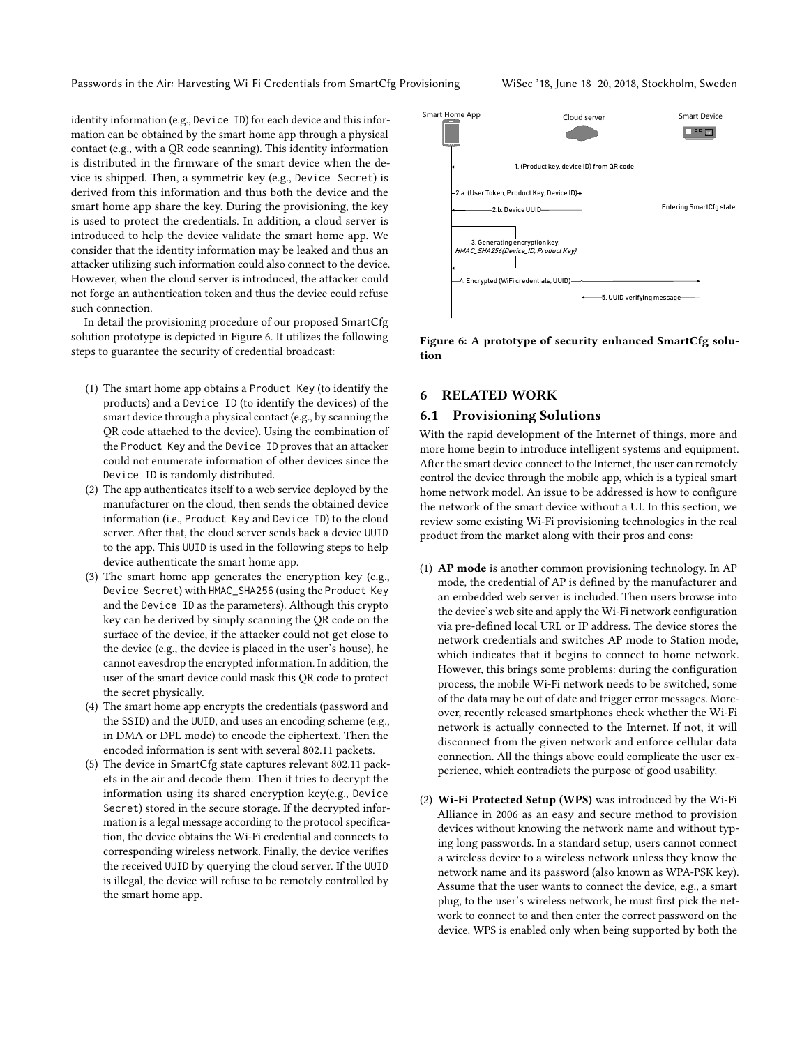Passwords in the Air: Harvesting Wi-Fi Credentials from SmartCfg Provisioning WiSec '18, June 18–20, 2018, Stockholm, Sweden

identity information (e.g., Device ID) for each device and this information can be obtained by the smart home app through a physical contact (e.g., with a QR code scanning). This identity information is distributed in the firmware of the smart device when the device is shipped. Then, a symmetric key (e.g., Device Secret) is derived from this information and thus both the device and the smart home app share the key. During the provisioning, the key is used to protect the credentials. In addition, a cloud server is introduced to help the device validate the smart home app. We consider that the identity information may be leaked and thus an attacker utilizing such information could also connect to the device. However, when the cloud server is introduced, the attacker could not forge an authentication token and thus the device could refuse such connection.

In detail the provisioning procedure of our proposed SmartCfg solution prototype is depicted in Figure [6.](#page-8-0) It utilizes the following steps to guarantee the security of credential broadcast:

- (1) The smart home app obtains a Product Key (to identify the products) and a Device ID (to identify the devices) of the smart device through a physical contact (e.g., by scanning the QR code attached to the device). Using the combination of the Product Key and the Device ID proves that an attacker could not enumerate information of other devices since the Device ID is randomly distributed.
- (2) The app authenticates itself to a web service deployed by the manufacturer on the cloud, then sends the obtained device information (i.e., Product Key and Device ID) to the cloud server. After that, the cloud server sends back a device UUID to the app. This UUID is used in the following steps to help device authenticate the smart home app.
- (3) The smart home app generates the encryption key (e.g., Device Secret) with HMAC\_SHA256 (using the Product Key and the Device ID as the parameters). Although this crypto key can be derived by simply scanning the QR code on the surface of the device, if the attacker could not get close to the device (e.g., the device is placed in the user's house), he cannot eavesdrop the encrypted information. In addition, the user of the smart device could mask this QR code to protect the secret physically.
- (4) The smart home app encrypts the credentials (password and the SSID) and the UUID, and uses an encoding scheme (e.g., in DMA or DPL mode) to encode the ciphertext. Then the encoded information is sent with several 802.11 packets.
- (5) The device in SmartCfg state captures relevant 802.11 packets in the air and decode them. Then it tries to decrypt the information using its shared encryption key(e.g., Device Secret) stored in the secure storage. If the decrypted information is a legal message according to the protocol specification, the device obtains the Wi-Fi credential and connects to corresponding wireless network. Finally, the device verifies the received UUID by querying the cloud server. If the UUID is illegal, the device will refuse to be remotely controlled by the smart home app.

<span id="page-8-0"></span>

Figure 6: A prototype of security enhanced SmartCfg solution

## 6 RELATED WORK

## 6.1 Provisioning Solutions

With the rapid development of the Internet of things, more and more home begin to introduce intelligent systems and equipment. After the smart device connect to the Internet, the user can remotely control the device through the mobile app, which is a typical smart home network model. An issue to be addressed is how to configure the network of the smart device without a UI. In this section, we review some existing Wi-Fi provisioning technologies in the real product from the market along with their pros and cons:

- (1) AP mode is another common provisioning technology. In AP mode, the credential of AP is defined by the manufacturer and an embedded web server is included. Then users browse into the device's web site and apply the Wi-Fi network configuration via pre-defined local URL or IP address. The device stores the network credentials and switches AP mode to Station mode, which indicates that it begins to connect to home network. However, this brings some problems: during the configuration process, the mobile Wi-Fi network needs to be switched, some of the data may be out of date and trigger error messages. Moreover, recently released smartphones check whether the Wi-Fi network is actually connected to the Internet. If not, it will disconnect from the given network and enforce cellular data connection. All the things above could complicate the user experience, which contradicts the purpose of good usability.
- (2) Wi-Fi Protected Setup (WPS) was introduced by the Wi-Fi Alliance in 2006 as an easy and secure method to provision devices without knowing the network name and without typing long passwords. In a standard setup, users cannot connect a wireless device to a wireless network unless they know the network name and its password (also known as WPA-PSK key). Assume that the user wants to connect the device, e.g., a smart plug, to the user's wireless network, he must first pick the network to connect to and then enter the correct password on the device. WPS is enabled only when being supported by both the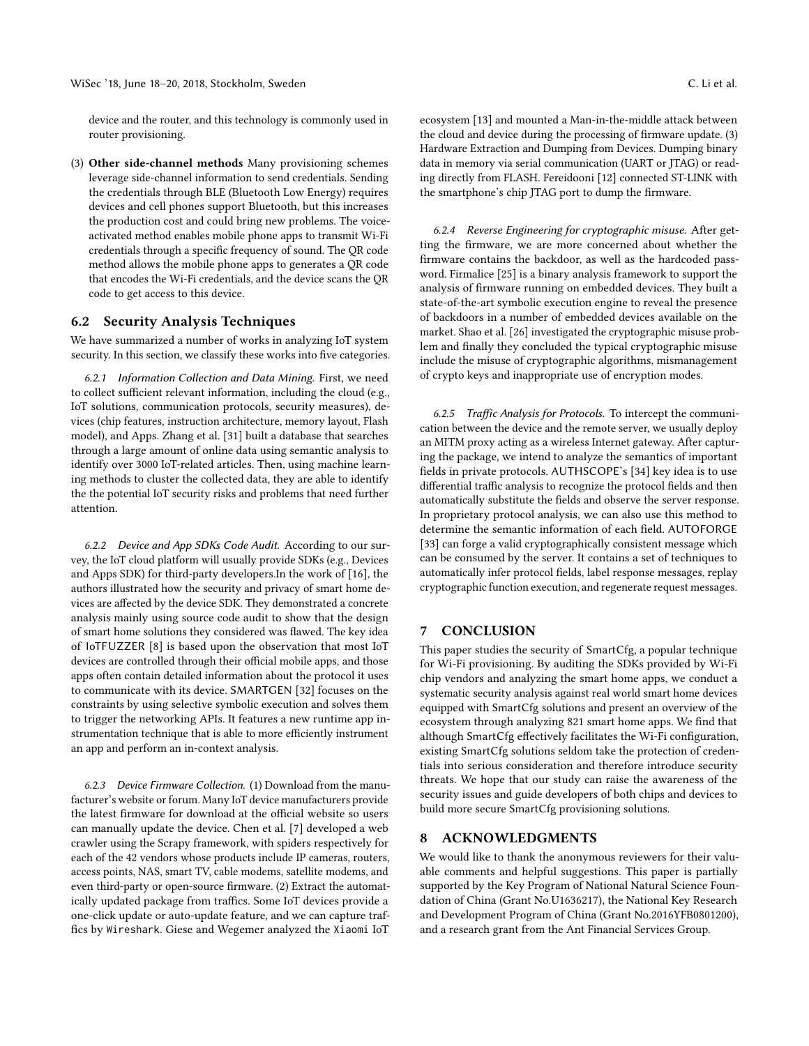device and the router, and this technology is commonly used in router provisioning.

(3) Other side-channel methods Many provisioning schemes leverage side-channel information to send credentials. Sending the credentials through BLE (Bluetooth Low Energy) requires devices and cell phones support Bluetooth, but this increases the production cost and could bring new problems. The voiceactivated method enables mobile phone apps to transmit Wi-Fi credentials through a specific frequency of sound. The QR code method allows the mobile phone apps to generates a QR code that encodes the Wi-Fi credentials, and the device scans the QR code to get access to this device.

## 6.2 Security Analysis Techniques

We have summarized a number of works in analyzing IoT system security. In this section, we classify these works into five categories.

6.2.1 Information Collection and Data Mining. First, we need to collect sufficient relevant information, including the cloud (e.g., IoT solutions, communication protocols, security measures), devices (chip features, instruction architecture, memory layout, Flash model), and Apps. Zhang et al. [\[31\]](#page-10-25) built a database that searches through a large amount of online data using semantic analysis to identify over 3000 IoT-related articles. Then, using machine learning methods to cluster the collected data, they are able to identify the the potential IoT security risks and problems that need further attention.

6.2.2 Device and App SDKs Code Audit. According to our survey, the IoT cloud platform will usually provide SDKs (e.g., Devices and Apps SDK) for third-party developers.In the work of [\[16\]](#page-10-26), the authors illustrated how the security and privacy of smart home devices are affected by the device SDK. They demonstrated a concrete analysis mainly using source code audit to show that the design of smart home solutions they considered was flawed. The key idea of IoTFUZZER [\[8\]](#page-10-7) is based upon the observation that most IoT devices are controlled through their official mobile apps, and those apps often contain detailed information about the protocol it uses to communicate with its device. SMARTGEN [\[32\]](#page-10-27) focuses on the constraints by using selective symbolic execution and solves them to trigger the networking APIs. It features a new runtime app instrumentation technique that is able to more efficiently instrument an app and perform an in-context analysis.

6.2.3 Device Firmware Collection. (1) Download from the manufacturer's website or forum. Many IoT device manufacturers provide the latest firmware for download at the official website so users can manually update the device. Chen et al. [\[7\]](#page-10-28) developed a web crawler using the Scrapy framework, with spiders respectively for each of the 42 vendors whose products include IP cameras, routers, access points, NAS, smart TV, cable modems, satellite modems, and even third-party or open-source firmware. (2) Extract the automatically updated package from traffics. Some IoT devices provide a one-click update or auto-update feature, and we can capture traffics by Wireshark. Giese and Wegemer analyzed the Xiaomi IoT

ecosystem [\[13\]](#page-10-29) and mounted a Man-in-the-middle attack between the cloud and device during the processing of firmware update. (3) Hardware Extraction and Dumping from Devices. Dumping binary data in memory via serial communication (UART or JTAG) or reading directly from FLASH. Fereidooni [\[12\]](#page-10-30) connected ST-LINK with the smartphone's chip JTAG port to dump the firmware.

6.2.4 Reverse Engineering for cryptographic misuse. After getting the firmware, we are more concerned about whether the firmware contains the backdoor, as well as the hardcoded password. Firmalice [\[25\]](#page-10-31) is a binary analysis framework to support the analysis of firmware running on embedded devices. They built a state-of-the-art symbolic execution engine to reveal the presence of backdoors in a number of embedded devices available on the market. Shao et al. [\[26\]](#page-10-32) investigated the cryptographic misuse problem and finally they concluded the typical cryptographic misuse include the misuse of cryptographic algorithms, mismanagement of crypto keys and inappropriate use of encryption modes.

6.2.5 Traffic Analysis for Protocols. To intercept the communication between the device and the remote server, we usually deploy an MITM proxy acting as a wireless Internet gateway. After capturing the package, we intend to analyze the semantics of important fields in private protocols. AUTHSCOPE's [\[34\]](#page-10-33) key idea is to use differential traffic analysis to recognize the protocol fields and then automatically substitute the fields and observe the server response. In proprietary protocol analysis, we can also use this method to determine the semantic information of each field. AUTOFORGE [\[33\]](#page-10-34) can forge a valid cryptographically consistent message which can be consumed by the server. It contains a set of techniques to automatically infer protocol fields, label response messages, replay cryptographic function execution, and regenerate request messages.

## 7 CONCLUSION

This paper studies the security of SmartCfg, a popular technique for Wi-Fi provisioning. By auditing the SDKs provided by Wi-Fi chip vendors and analyzing the smart home apps, we conduct a systematic security analysis against real world smart home devices equipped with SmartCfg solutions and present an overview of the ecosystem through analyzing 821 smart home apps. We find that although SmartCfg effectively facilitates the Wi-Fi configuration, existing SmartCfg solutions seldom take the protection of credentials into serious consideration and therefore introduce security threats. We hope that our study can raise the awareness of the security issues and guide developers of both chips and devices to build more secure SmartCfg provisioning solutions.

## 8 ACKNOWLEDGMENTS

We would like to thank the anonymous reviewers for their valuable comments and helpful suggestions. This paper is partially supported by the Key Program of National Natural Science Foundation of China (Grant No.U1636217), the National Key Research and Development Program of China (Grant No.2016YFB0801200), and a research grant from the Ant Financial Services Group.